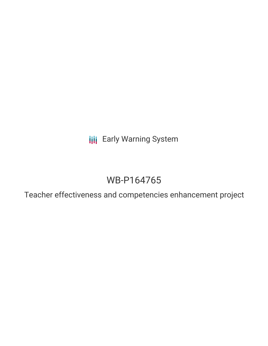**III** Early Warning System

# WB-P164765

Teacher effectiveness and competencies enhancement project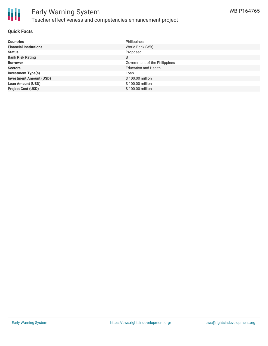

### **Quick Facts**

| <b>Countries</b>               | Philippines                   |
|--------------------------------|-------------------------------|
| <b>Financial Institutions</b>  | World Bank (WB)               |
| <b>Status</b>                  | Proposed                      |
| <b>Bank Risk Rating</b>        | B                             |
| <b>Borrower</b>                | Government of the Philippines |
| <b>Sectors</b>                 | <b>Education and Health</b>   |
| <b>Investment Type(s)</b>      | Loan                          |
| <b>Investment Amount (USD)</b> | \$100.00 million              |
| <b>Loan Amount (USD)</b>       | \$100.00 million              |
| <b>Project Cost (USD)</b>      | \$100.00 million              |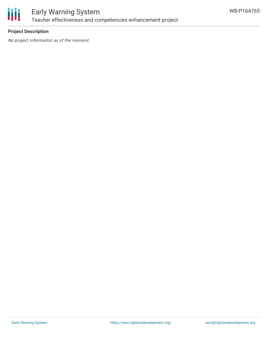

### Early Warning System Teacher effectiveness and competencies enhancement project

### **Project Description**

No project information as of the moment.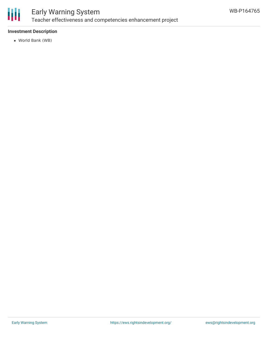

## Early Warning System Teacher effectiveness and competencies enhancement project

### **Investment Description**

World Bank (WB)